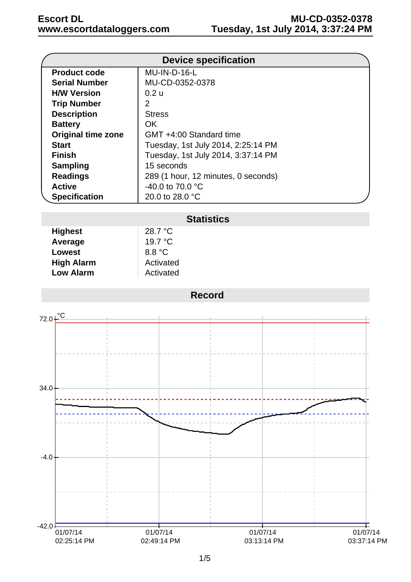|                           | <b>Device specification</b>         |  |
|---------------------------|-------------------------------------|--|
| <b>Product code</b>       | MU-IN-D-16-L                        |  |
| <b>Serial Number</b>      | MU-CD-0352-0378                     |  |
| <b>H/W Version</b>        | 0.2 u                               |  |
| <b>Trip Number</b>        | 2                                   |  |
| <b>Description</b>        | <b>Stress</b>                       |  |
| <b>Battery</b>            | OK.                                 |  |
| <b>Original time zone</b> | GMT +4:00 Standard time             |  |
| <b>Start</b>              | Tuesday, 1st July 2014, 2:25:14 PM  |  |
| <b>Finish</b>             | Tuesday, 1st July 2014, 3:37:14 PM  |  |
| <b>Sampling</b>           | 15 seconds                          |  |
| <b>Readings</b>           | 289 (1 hour, 12 minutes, 0 seconds) |  |
| <b>Active</b>             | -40.0 to 70.0 $^{\circ}$ C          |  |
| <b>Specification</b>      | 20.0 to 28.0 °C                     |  |

## **Statistics**

| <b>Highest</b>    | 28.7 °C          |
|-------------------|------------------|
| Average           | 19.7 $\degree$ C |
| <b>Lowest</b>     | 8.8 °C           |
| <b>High Alarm</b> | Activated        |
| <b>Low Alarm</b>  | Activated        |

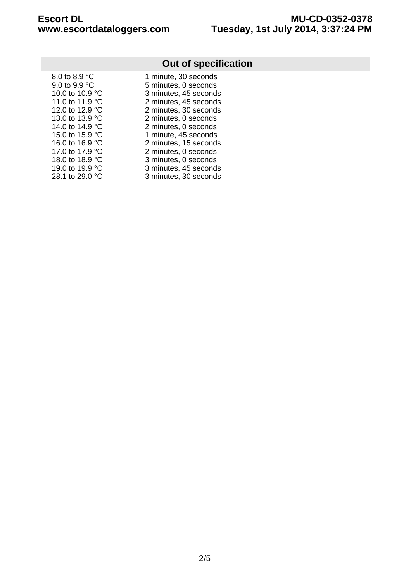| 8.0 to 8.9 °C           |
|-------------------------|
| 9.0 to 9.9 $^{\circ}$ C |
| 10.0 to 10.9 °C         |
| 11.0 to 11.9 °C         |
| 12.0 to 12.9 °C         |
| 13.0 to 13.9 °C         |
| 14.0 to 14.9 °C         |
| 15.0 to 15.9 °C         |
| 16.0 to 16.9 °C         |
| 17.0 to 17.9 °C         |
| 18.0 to 18.9 °C         |
| 19.0 to 19.9 °C         |
| 28.1 to 29.0 °C         |

## **Out of specification**

| 8.0 to 8.9 °C   | 1 minute, 30 seconds  |
|-----------------|-----------------------|
| 9.0 to 9.9 °C   | 5 minutes, 0 seconds  |
| 10.0 to 10.9 °C | 3 minutes, 45 seconds |
| 11.0 to 11.9 °C | 2 minutes, 45 seconds |
| 12.0 to 12.9 °C | 2 minutes, 30 seconds |
| 13.0 to 13.9 °C | 2 minutes, 0 seconds  |
| 14.0 to 14.9 °C | 2 minutes, 0 seconds  |
| 15.0 to 15.9 °C | 1 minute, 45 seconds  |
| 16.0 to 16.9 °C | 2 minutes, 15 seconds |
| 17.0 to 17.9 °C | 2 minutes, 0 seconds  |
| 18.0 to 18.9 °C | 3 minutes, 0 seconds  |
| 19.0 to 19.9 °C | 3 minutes, 45 seconds |
| 28.1 to 29.0 °C | 3 minutes, 30 seconds |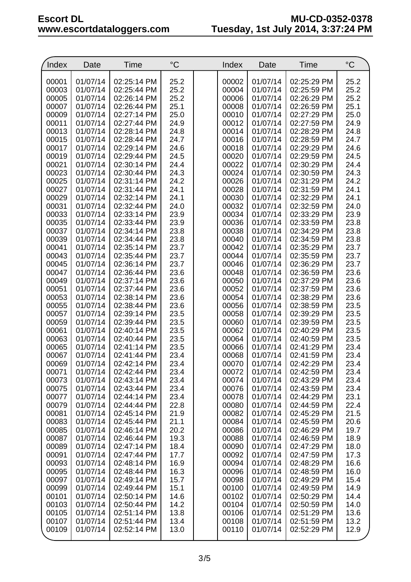| Index          | Date                 | Time                       | $\rm ^{\circ}C$ | Index          | Date                 | Time                       | $^{\circ}C$  |
|----------------|----------------------|----------------------------|-----------------|----------------|----------------------|----------------------------|--------------|
|                |                      |                            |                 |                |                      |                            |              |
| 00001          | 01/07/14             | 02:25:14 PM                | 25.2            | 00002          | 01/07/14             | 02:25:29 PM                | 25.2         |
| 00003          | 01/07/14             | 02:25:44 PM                | 25.2            | 00004          | 01/07/14             | 02:25:59 PM                | 25.2         |
| 00005          | 01/07/14             | 02:26:14 PM                | 25.2            | 00006          | 01/07/14             | 02:26:29 PM                | 25.2         |
| 00007          | 01/07/14             | 02:26:44 PM                | 25.1            | 00008          | 01/07/14             | 02:26:59 PM                | 25.1         |
| 00009          | 01/07/14             | 02:27:14 PM                | 25.0            | 00010          | 01/07/14             | 02:27:29 PM                | 25.0         |
| 00011          | 01/07/14             | 02:27:44 PM                | 24.9            | 00012          | 01/07/14             | 02:27:59 PM                | 24.9         |
| 00013<br>00015 | 01/07/14<br>01/07/14 | 02:28:14 PM<br>02:28:44 PM | 24.8<br>24.7    | 00014<br>00016 | 01/07/14<br>01/07/14 | 02:28:29 PM<br>02:28:59 PM | 24.8<br>24.7 |
| 00017          | 01/07/14             | 02:29:14 PM                | 24.6            | 00018          | 01/07/14             | 02:29:29 PM                | 24.6         |
| 00019          | 01/07/14             | 02:29:44 PM                | 24.5            | 00020          | 01/07/14             | 02:29:59 PM                | 24.5         |
| 00021          | 01/07/14             | 02:30:14 PM                | 24.4            | 00022          | 01/07/14             | 02:30:29 PM                | 24.4         |
| 00023          | 01/07/14             | 02:30:44 PM                | 24.3            | 00024          | 01/07/14             | 02:30:59 PM                | 24.3         |
| 00025          | 01/07/14             | 02:31:14 PM                | 24.2            | 00026          | 01/07/14             | 02:31:29 PM                | 24.2         |
| 00027          | 01/07/14             | 02:31:44 PM                | 24.1            | 00028          | 01/07/14             | 02:31:59 PM                | 24.1         |
| 00029          | 01/07/14             | 02:32:14 PM                | 24.1            | 00030          | 01/07/14             | 02:32:29 PM                | 24.1         |
| 00031          | 01/07/14             | 02:32:44 PM                | 24.0            | 00032          | 01/07/14             | 02:32:59 PM                | 24.0         |
| 00033          | 01/07/14             | 02:33:14 PM                | 23.9            | 00034          | 01/07/14             | 02:33:29 PM                | 23.9         |
| 00035          | 01/07/14             | 02:33:44 PM                | 23.9            | 00036          | 01/07/14             | 02:33:59 PM                | 23.8         |
| 00037          | 01/07/14             | 02:34:14 PM                | 23.8            | 00038          | 01/07/14             | 02:34:29 PM                | 23.8         |
| 00039          | 01/07/14             | 02:34:44 PM                | 23.8            | 00040          | 01/07/14             | 02:34:59 PM                | 23.8         |
| 00041          | 01/07/14             | 02:35:14 PM                | 23.7            | 00042          | 01/07/14             | 02:35:29 PM                | 23.7         |
| 00043          | 01/07/14             | 02:35:44 PM                | 23.7            | 00044          | 01/07/14             | 02:35:59 PM                | 23.7         |
| 00045          | 01/07/14             | 02:36:14 PM                | 23.7            | 00046          | 01/07/14             | 02:36:29 PM                | 23.7         |
| 00047          | 01/07/14             | 02:36:44 PM                | 23.6            | 00048          | 01/07/14             | 02:36:59 PM                | 23.6         |
| 00049          | 01/07/14             | 02:37:14 PM                | 23.6            | 00050          | 01/07/14             | 02:37:29 PM                | 23.6         |
| 00051<br>00053 | 01/07/14<br>01/07/14 | 02:37:44 PM<br>02:38:14 PM | 23.6<br>23.6    | 00052<br>00054 | 01/07/14<br>01/07/14 | 02:37:59 PM<br>02:38:29 PM | 23.6<br>23.6 |
| 00055          | 01/07/14             | 02:38:44 PM                | 23.6            | 00056          | 01/07/14             | 02:38:59 PM                | 23.5         |
| 00057          | 01/07/14             | 02:39:14 PM                | 23.5            | 00058          | 01/07/14             | 02:39:29 PM                | 23.5         |
| 00059          | 01/07/14             | 02:39:44 PM                | 23.5            | 00060          | 01/07/14             | 02:39:59 PM                | 23.5         |
| 00061          | 01/07/14             | 02:40:14 PM                | 23.5            | 00062          | 01/07/14             | 02:40:29 PM                | 23.5         |
| 00063          | 01/07/14             | 02:40:44 PM                | 23.5            | 00064          | 01/07/14             | 02:40:59 PM                | 23.5         |
| 00065          | 01/07/14             | 02:41:14 PM                | 23.5            | 00066          | 01/07/14             | 02:41:29 PM                | 23.4         |
| 00067          | 01/07/14             | 02:41:44 PM                | 23.4            | 00068          | 01/07/14             | 02:41:59 PM                | 23.4         |
| 00069          | 01/07/14             | 02:42:14 PM                | 23.4            | 00070          | 01/07/14             | 02:42:29 PM                | 23.4         |
| 00071          | 01/07/14             | 02:42:44 PM                | 23.4            | 00072          | 01/07/14             | 02:42:59 PM                | 23.4         |
| 00073          | 01/07/14             | 02:43:14 PM                | 23.4            | 00074          | 01/07/14             | 02:43:29 PM                | 23.4         |
| 00075          | 01/07/14             | 02:43:44 PM                | 23.4            | 00076          | 01/07/14             | 02:43:59 PM                | 23.4         |
| 00077          | 01/07/14             | 02:44:14 PM                | 23.4            | 00078          | 01/07/14             | 02:44:29 PM                | 23.1         |
| 00079          | 01/07/14             | 02:44:44 PM                | 22.8            | 00080          | 01/07/14             | 02:44:59 PM                | 22.4         |
| 00081          | 01/07/14             | 02:45:14 PM                | 21.9            | 00082          | 01/07/14             | 02:45:29 PM                | 21.5         |
| 00083<br>00085 | 01/07/14<br>01/07/14 | 02:45:44 PM                | 21.1<br>20.2    | 00084          | 01/07/14<br>01/07/14 | 02:45:59 PM<br>02:46:29 PM | 20.6<br>19.7 |
| 00087          | 01/07/14             | 02:46:14 PM<br>02:46:44 PM | 19.3            | 00086<br>00088 | 01/07/14             | 02:46:59 PM                | 18.9         |
| 00089          | 01/07/14             | 02:47:14 PM                | 18.4            | 00090          | 01/07/14             | 02:47:29 PM                | 18.0         |
| 00091          | 01/07/14             | 02:47:44 PM                | 17.7            | 00092          | 01/07/14             | 02:47:59 PM                | 17.3         |
| 00093          | 01/07/14             | 02:48:14 PM                | 16.9            | 00094          | 01/07/14             | 02:48:29 PM                | 16.6         |
| 00095          | 01/07/14             | 02:48:44 PM                | 16.3            | 00096          | 01/07/14             | 02:48:59 PM                | 16.0         |
| 00097          | 01/07/14             | 02:49:14 PM                | 15.7            | 00098          | 01/07/14             | 02:49:29 PM                | 15.4         |
| 00099          | 01/07/14             | 02:49:44 PM                | 15.1            | 00100          | 01/07/14             | 02:49:59 PM                | 14.9         |
| 00101          | 01/07/14             | 02:50:14 PM                | 14.6            | 00102          | 01/07/14             | 02:50:29 PM                | 14.4         |
| 00103          | 01/07/14             | 02:50:44 PM                | 14.2            | 00104          | 01/07/14             | 02:50:59 PM                | 14.0         |
| 00105          | 01/07/14             | 02:51:14 PM                | 13.8            | 00106          | 01/07/14             | 02:51:29 PM                | 13.6         |
| 00107          | 01/07/14             | 02:51:44 PM                | 13.4            | 00108          | 01/07/14             | 02:51:59 PM                | 13.2         |
| 00109          | 01/07/14             | 02:52:14 PM                | 13.0            | 00110          | 01/07/14             | 02:52:29 PM                | 12.9         |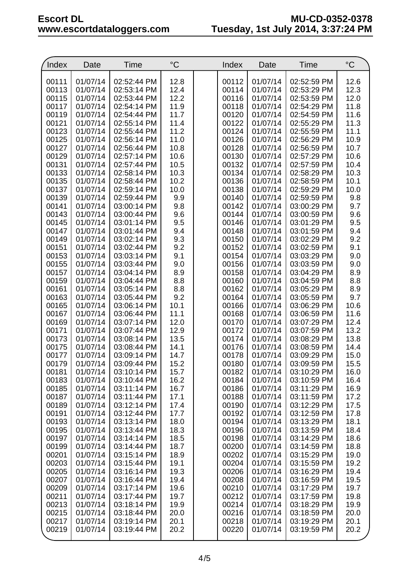| Index          | Date                 | Time                       | $^{\circ}C$  | Index          | Date                 | Time                       | $^{\circ}C$  |
|----------------|----------------------|----------------------------|--------------|----------------|----------------------|----------------------------|--------------|
| 00111          | 01/07/14             | 02:52:44 PM                | 12.8         | 00112          | 01/07/14             | 02:52:59 PM                | 12.6         |
| 00113          | 01/07/14             | 02:53:14 PM                | 12.4         | 00114          | 01/07/14             | 02:53:29 PM                | 12.3         |
| 00115          | 01/07/14             | 02:53:44 PM                | 12.2         | 00116          | 01/07/14             | 02:53:59 PM                | 12.0         |
| 00117          | 01/07/14             | 02:54:14 PM                | 11.9         | 00118          | 01/07/14             | 02:54:29 PM                | 11.8         |
| 00119          | 01/07/14             | 02:54:44 PM                | 11.7         | 00120          | 01/07/14             | 02:54:59 PM                | 11.6         |
| 00121          | 01/07/14             | 02:55:14 PM                | 11.4         | 00122          | 01/07/14             | 02:55:29 PM                | 11.3         |
| 00123          | 01/07/14             | 02:55:44 PM                | 11.2         | 00124          | 01/07/14             | 02:55:59 PM                | 11.1         |
| 00125          | 01/07/14             | 02:56:14 PM                | 11.0         | 00126          | 01/07/14             | 02:56:29 PM                | 10.9         |
| 00127          | 01/07/14             | 02:56:44 PM                | 10.8         | 00128          | 01/07/14             | 02:56:59 PM                | 10.7         |
| 00129          | 01/07/14             | 02:57:14 PM                | 10.6         | 00130          | 01/07/14             | 02:57:29 PM                | 10.6         |
| 00131          | 01/07/14             | 02:57:44 PM                | 10.5         | 00132          | 01/07/14             | 02:57:59 PM                | 10.4         |
| 00133          | 01/07/14             | 02:58:14 PM                | 10.3         | 00134          | 01/07/14             | 02:58:29 PM                | 10.3         |
| 00135          | 01/07/14             | 02:58:44 PM                | 10.2         | 00136          | 01/07/14             | 02:58:59 PM                | 10.1         |
| 00137          | 01/07/14             | 02:59:14 PM                | 10.0         | 00138          | 01/07/14             | 02:59:29 PM                | 10.0         |
| 00139          | 01/07/14             | 02:59:44 PM                | 9.9          | 00140          | 01/07/14             | 02:59:59 PM                | 9.8          |
| 00141          | 01/07/14             | 03:00:14 PM                | 9.8          | 00142          | 01/07/14             | 03:00:29 PM                | 9.7          |
| 00143          | 01/07/14             | 03:00:44 PM                | 9.6          | 00144          | 01/07/14             | 03:00:59 PM                | 9.6          |
| 00145          | 01/07/14             | 03:01:14 PM                | 9.5          | 00146          | 01/07/14             | 03:01:29 PM                | 9.5          |
| 00147          | 01/07/14             | 03:01:44 PM                | 9.4          | 00148          | 01/07/14             | 03:01:59 PM                | 9.4          |
| 00149          | 01/07/14             | 03:02:14 PM                | 9.3          | 00150          | 01/07/14             | 03:02:29 PM                | 9.2          |
| 00151          | 01/07/14             | 03:02:44 PM                | 9.2          | 00152          | 01/07/14             | 03:02:59 PM                | 9.1          |
| 00153          | 01/07/14             | 03:03:14 PM                | 9.1          | 00154          | 01/07/14             | 03:03:29 PM                | 9.0          |
| 00155          | 01/07/14             | 03:03:44 PM                | 9.0          | 00156          | 01/07/14             | 03:03:59 PM                | 9.0          |
| 00157          | 01/07/14             | 03:04:14 PM                | 8.9          | 00158          | 01/07/14             | 03:04:29 PM                | 8.9          |
| 00159          | 01/07/14             | 03:04:44 PM                | 8.8          | 00160          | 01/07/14             | 03:04:59 PM                | 8.8          |
| 00161          | 01/07/14             | 03:05:14 PM                | 8.8          | 00162          | 01/07/14             | 03:05:29 PM                | 8.9          |
| 00163          | 01/07/14             | 03:05:44 PM                | 9.2          | 00164          | 01/07/14             | 03:05:59 PM                | 9.7          |
| 00165          | 01/07/14             | 03:06:14 PM                | 10.1         | 00166          | 01/07/14             | 03:06:29 PM                | 10.6         |
| 00167          | 01/07/14             | 03:06:44 PM                | 11.1         | 00168          | 01/07/14             | 03:06:59 PM                | 11.6         |
| 00169          | 01/07/14             | 03:07:14 PM                | 12.0         | 00170          | 01/07/14             | 03:07:29 PM                | 12.4         |
| 00171          | 01/07/14             | 03:07:44 PM                | 12.9         | 00172          | 01/07/14             | 03:07:59 PM                | 13.2         |
| 00173          | 01/07/14             | 03:08:14 PM                | 13.5         | 00174          | 01/07/14             | 03:08:29 PM                | 13.8         |
| 00175          | 01/07/14             | 03:08:44 PM                | 14.1         | 00176          | 01/07/14             | 03:08:59 PM                | 14.4         |
| 00177          | 01/07/14             | 03:09:14 PM                | 14.7         | 00178          | 01/07/14             | 03:09:29 PM                | 15.0         |
| 00179          | 01/07/14             | 03:09:44 PM                | 15.2         | 00180          | 01/07/14             | 03:09:59 PM                | 15.5         |
| 00181          | 01/07/14             | 03:10:14 PM                | 15.7         | 00182          | 01/07/14             | 03:10:29 PM                | 16.0         |
| 00183          | 01/07/14             | 03:10:44 PM                | 16.2         | 00184          | 01/07/14             | 03:10:59 PM                | 16.4         |
| 00185          | 01/07/14             | 03:11:14 PM                | 16.7         | 00186          | 01/07/14             | 03:11:29 PM                | 16.9         |
| 00187<br>00189 | 01/07/14<br>01/07/14 | 03:11:44 PM<br>03:12:14 PM | 17.1<br>17.4 | 00188<br>00190 | 01/07/14<br>01/07/14 | 03:11:59 PM<br>03:12:29 PM | 17.2<br>17.5 |
| 00191          | 01/07/14             | 03:12:44 PM                | 17.7         | 00192          | 01/07/14             | 03:12:59 PM                | 17.8         |
| 00193          | 01/07/14             | 03:13:14 PM                | 18.0         | 00194          | 01/07/14             | 03:13:29 PM                | 18.1         |
| 00195          | 01/07/14             | 03:13:44 PM                | 18.3         | 00196          | 01/07/14             | 03:13:59 PM                | 18.4         |
| 00197          | 01/07/14             | 03:14:14 PM                | 18.5         | 00198          | 01/07/14             | 03:14:29 PM                | 18.6         |
| 00199          | 01/07/14             | 03:14:44 PM                | 18.7         | 00200          | 01/07/14             | 03:14:59 PM                | 18.8         |
| 00201          | 01/07/14             | 03:15:14 PM                | 18.9         | 00202          | 01/07/14             | 03:15:29 PM                | 19.0         |
| 00203          | 01/07/14             | 03:15:44 PM                | 19.1         | 00204          | 01/07/14             | 03:15:59 PM                | 19.2         |
| 00205          | 01/07/14             | 03:16:14 PM                | 19.3         | 00206          | 01/07/14             | 03:16:29 PM                | 19.4         |
| 00207          | 01/07/14             | 03:16:44 PM                | 19.4         | 00208          | 01/07/14             | 03:16:59 PM                | 19.5         |
| 00209          | 01/07/14             | 03:17:14 PM                | 19.6         | 00210          | 01/07/14             | 03:17:29 PM                | 19.7         |
| 00211          | 01/07/14             | 03:17:44 PM                | 19.7         | 00212          | 01/07/14             | 03:17:59 PM                | 19.8         |
| 00213          | 01/07/14             | 03:18:14 PM                | 19.9         | 00214          | 01/07/14             | 03:18:29 PM                | 19.9         |
| 00215          | 01/07/14             | 03:18:44 PM                | 20.0         | 00216          | 01/07/14             | 03:18:59 PM                | 20.0         |
| 00217          | 01/07/14             | 03:19:14 PM                | 20.1         | 00218          | 01/07/14             | 03:19:29 PM                | 20.1         |
| 00219          | 01/07/14             | 03:19:44 PM                | 20.2         | 00220          | 01/07/14             | 03:19:59 PM                | 20.2         |
|                |                      |                            |              |                |                      |                            |              |